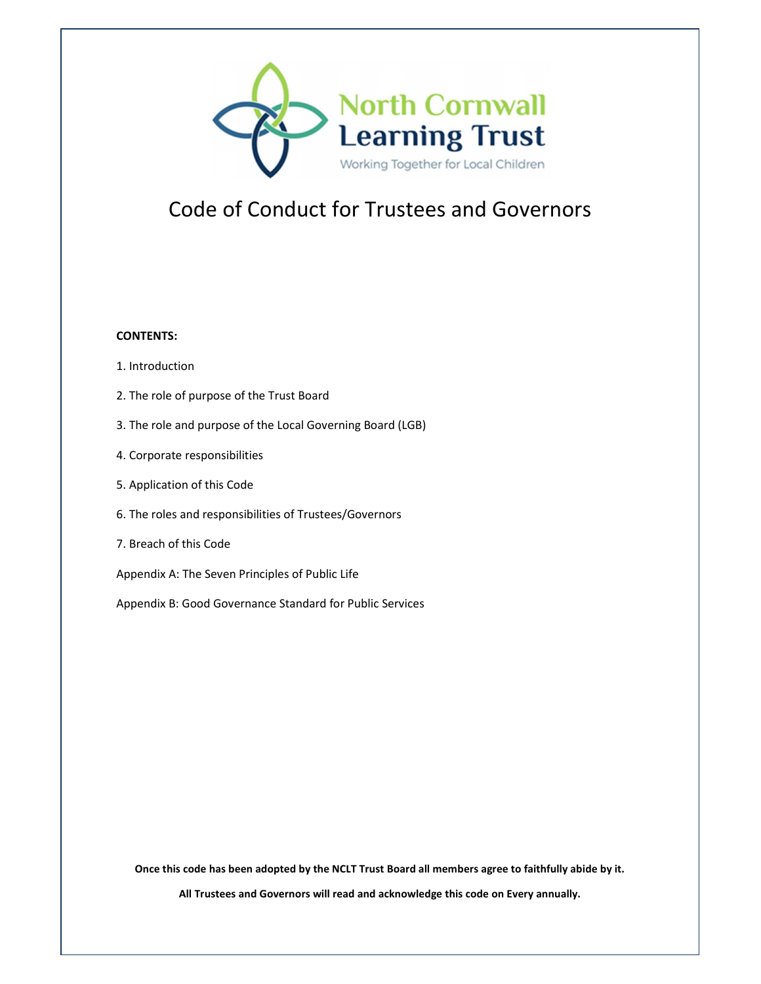

# Code of Conduct for Trustees and Governors

#### **CONTENTS:**

- 1. Introduction
- 2. The role of purpose of the Trust Board
- 3. The role and purpose of the Local Governing Board (LGB)
- 4. Corporate responsibilities
- 5. Application of this Code
- 6. The roles and responsibilities of Trustees/Governors
- 7. Breach of this Code
- Appendix A: The Seven Principles of Public Life
- Appendix B: Good Governance Standard for Public Services

**Once this code has been adopted by the NCLT Trust Board all members agree to faithfully abide by it.** 

**All Trustees and Governors will read and acknowledge this code on Every annually.**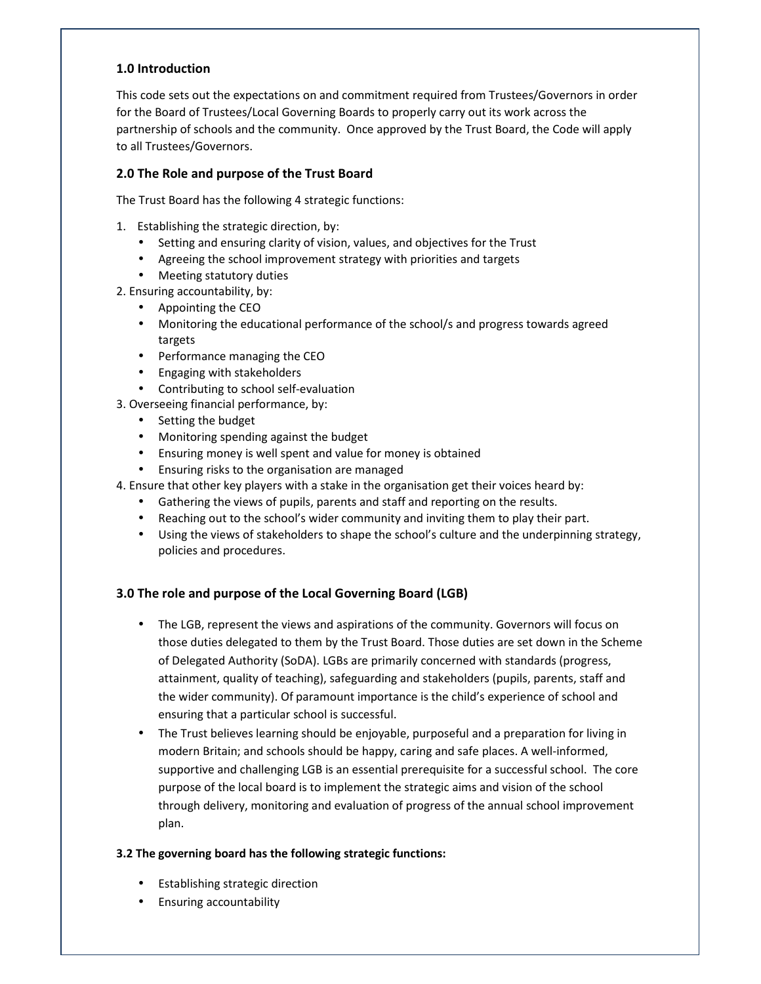# **1.0 Introduction**

This code sets out the expectations on and commitment required from Trustees/Governors in order for the Board of Trustees/Local Governing Boards to properly carry out its work across the partnership of schools and the community. Once approved by the Trust Board, the Code will apply to all Trustees/Governors.

## **2.0 The Role and purpose of the Trust Board**

The Trust Board has the following 4 strategic functions:

- 1. Establishing the strategic direction, by:
	- Setting and ensuring clarity of vision, values, and objectives for the Trust
	- Agreeing the school improvement strategy with priorities and targets
	- Meeting statutory duties
- 2. Ensuring accountability, by:
	- Appointing the CEO
	- Monitoring the educational performance of the school/s and progress towards agreed targets
	- Performance managing the CEO
	- Engaging with stakeholders
	- Contributing to school self-evaluation
- 3. Overseeing financial performance, by:
	- Setting the budget
	- Monitoring spending against the budget
	- Ensuring money is well spent and value for money is obtained
	- Ensuring risks to the organisation are managed
- 4. Ensure that other key players with a stake in the organisation get their voices heard by:
	- Gathering the views of pupils, parents and staff and reporting on the results.
	- Reaching out to the school's wider community and inviting them to play their part.
	- Using the views of stakeholders to shape the school's culture and the underpinning strategy, policies and procedures.

# **3.0 The role and purpose of the Local Governing Board (LGB)**

- The LGB, represent the views and aspirations of the community. Governors will focus on those duties delegated to them by the Trust Board. Those duties are set down in the Scheme of Delegated Authority (SoDA). LGBs are primarily concerned with standards (progress, attainment, quality of teaching), safeguarding and stakeholders (pupils, parents, staff and the wider community). Of paramount importance is the child's experience of school and ensuring that a particular school is successful.
- The Trust believes learning should be enjoyable, purposeful and a preparation for living in modern Britain; and schools should be happy, caring and safe places. A well-informed, supportive and challenging LGB is an essential prerequisite for a successful school. The core purpose of the local board is to implement the strategic aims and vision of the school through delivery, monitoring and evaluation of progress of the annual school improvement plan.

## **3.2 The governing board has the following strategic functions:**

- Establishing strategic direction
- Ensuring accountability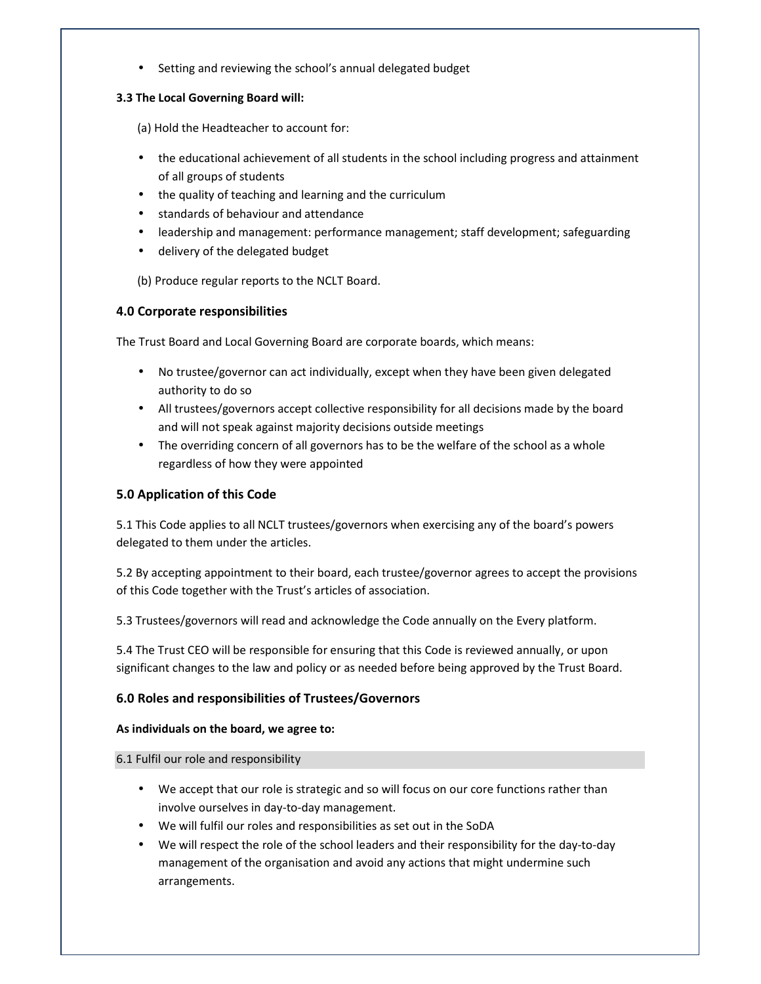• Setting and reviewing the school's annual delegated budget

#### **3.3 The Local Governing Board will:**

(a) Hold the Headteacher to account for:

- the educational achievement of all students in the school including progress and attainment of all groups of students
- the quality of teaching and learning and the curriculum
- standards of behaviour and attendance
- leadership and management: performance management; staff development; safeguarding
- delivery of the delegated budget

(b) Produce regular reports to the NCLT Board.

## **4.0 Corporate responsibilities**

The Trust Board and Local Governing Board are corporate boards, which means:

- No trustee/governor can act individually, except when they have been given delegated authority to do so
- All trustees/governors accept collective responsibility for all decisions made by the board and will not speak against majority decisions outside meetings
- The overriding concern of all governors has to be the welfare of the school as a whole regardless of how they were appointed

## **5.0 Application of this Code**

5.1 This Code applies to all NCLT trustees/governors when exercising any of the board's powers delegated to them under the articles.

5.2 By accepting appointment to their board, each trustee/governor agrees to accept the provisions of this Code together with the Trust's articles of association.

5.3 Trustees/governors will read and acknowledge the Code annually on the Every platform.

5.4 The Trust CEO will be responsible for ensuring that this Code is reviewed annually, or upon significant changes to the law and policy or as needed before being approved by the Trust Board.

## **6.0 Roles and responsibilities of Trustees/Governors**

#### **As individuals on the board, we agree to:**

#### 6.1 Fulfil our role and responsibility

- We accept that our role is strategic and so will focus on our core functions rather than involve ourselves in day-to-day management.
- We will fulfil our roles and responsibilities as set out in the SoDA
- We will respect the role of the school leaders and their responsibility for the day-to-day management of the organisation and avoid any actions that might undermine such arrangements.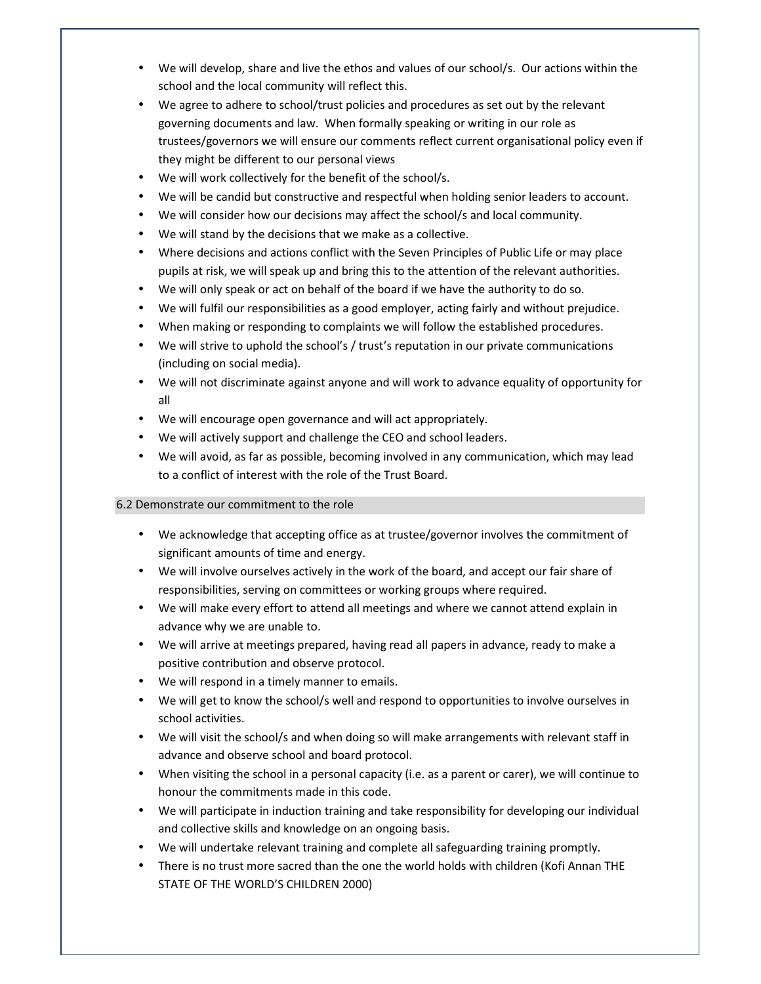- We will develop, share and live the ethos and values of our school/s. Our actions within the school and the local community will reflect this.
- We agree to adhere to school/trust policies and procedures as set out by the relevant governing documents and law. When formally speaking or writing in our role as trustees/governors we will ensure our comments reflect current organisational policy even if they might be different to our personal views
- We will work collectively for the benefit of the school/s.
- We will be candid but constructive and respectful when holding senior leaders to account.
- We will consider how our decisions may affect the school/s and local community.
- We will stand by the decisions that we make as a collective.
- Where decisions and actions conflict with the Seven Principles of Public Life or may place pupils at risk, we will speak up and bring this to the attention of the relevant authorities.
- We will only speak or act on behalf of the board if we have the authority to do so.
- We will fulfil our responsibilities as a good employer, acting fairly and without prejudice.
- When making or responding to complaints we will follow the established procedures.
- We will strive to uphold the school's / trust's reputation in our private communications (including on social media).
- We will not discriminate against anyone and will work to advance equality of opportunity for all
- We will encourage open governance and will act appropriately.
- We will actively support and challenge the CEO and school leaders.
- We will avoid, as far as possible, becoming involved in any communication, which may lead to a conflict of interest with the role of the Trust Board.

## 6.2 Demonstrate our commitment to the role

- We acknowledge that accepting office as at trustee/governor involves the commitment of significant amounts of time and energy.
- We will involve ourselves actively in the work of the board, and accept our fair share of responsibilities, serving on committees or working groups where required.
- We will make every effort to attend all meetings and where we cannot attend explain in advance why we are unable to.
- We will arrive at meetings prepared, having read all papers in advance, ready to make a positive contribution and observe protocol.
- We will respond in a timely manner to emails.
- We will get to know the school/s well and respond to opportunities to involve ourselves in school activities.
- We will visit the school/s and when doing so will make arrangements with relevant staff in advance and observe school and board protocol.
- When visiting the school in a personal capacity (i.e. as a parent or carer), we will continue to honour the commitments made in this code.
- We will participate in induction training and take responsibility for developing our individual and collective skills and knowledge on an ongoing basis.
- We will undertake relevant training and complete all safeguarding training promptly.
- There is no trust more sacred than the one the world holds with children (Kofi Annan THE STATE OF THE WORLD'S CHILDREN 2000)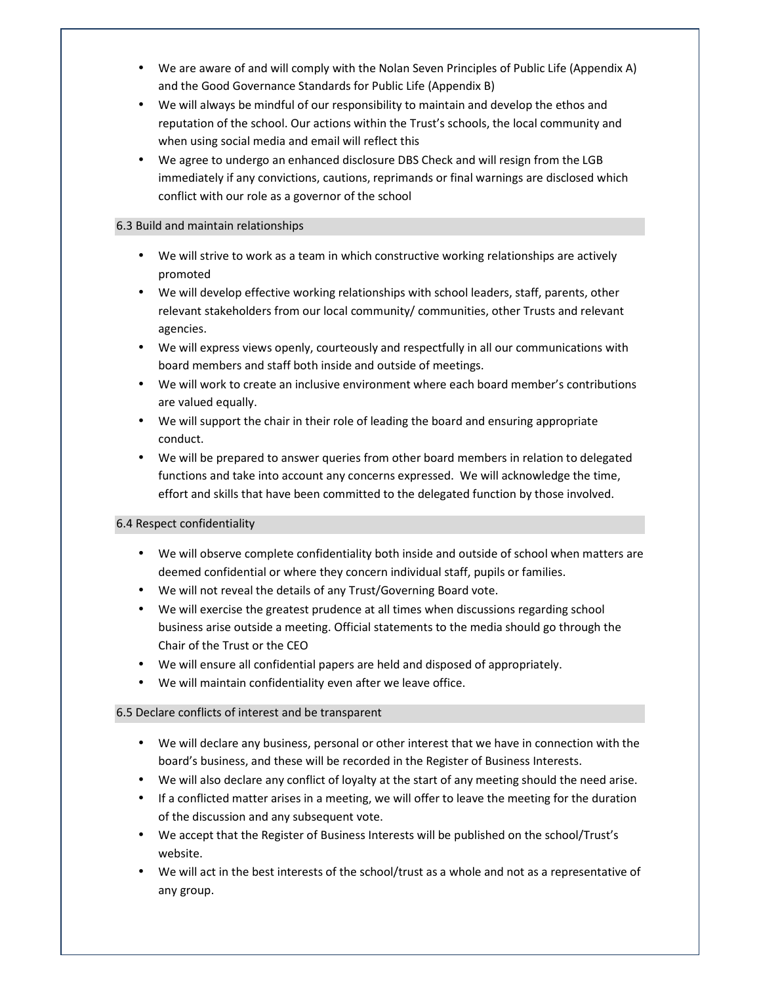- We are aware of and will comply with the Nolan Seven Principles of Public Life (Appendix A) and the Good Governance Standards for Public Life (Appendix B)
- We will always be mindful of our responsibility to maintain and develop the ethos and reputation of the school. Our actions within the Trust's schools, the local community and when using social media and email will reflect this
- We agree to undergo an enhanced disclosure DBS Check and will resign from the LGB immediately if any convictions, cautions, reprimands or final warnings are disclosed which conflict with our role as a governor of the school

#### 6.3 Build and maintain relationships

- We will strive to work as a team in which constructive working relationships are actively promoted
- We will develop effective working relationships with school leaders, staff, parents, other relevant stakeholders from our local community/ communities, other Trusts and relevant agencies.
- We will express views openly, courteously and respectfully in all our communications with board members and staff both inside and outside of meetings.
- We will work to create an inclusive environment where each board member's contributions are valued equally.
- We will support the chair in their role of leading the board and ensuring appropriate conduct.
- We will be prepared to answer queries from other board members in relation to delegated functions and take into account any concerns expressed. We will acknowledge the time, effort and skills that have been committed to the delegated function by those involved.

## 6.4 Respect confidentiality

- We will observe complete confidentiality both inside and outside of school when matters are deemed confidential or where they concern individual staff, pupils or families.
- We will not reveal the details of any Trust/Governing Board vote.
- We will exercise the greatest prudence at all times when discussions regarding school business arise outside a meeting. Official statements to the media should go through the Chair of the Trust or the CEO
- We will ensure all confidential papers are held and disposed of appropriately.
- We will maintain confidentiality even after we leave office.

## 6.5 Declare conflicts of interest and be transparent

- We will declare any business, personal or other interest that we have in connection with the board's business, and these will be recorded in the Register of Business Interests.
- We will also declare any conflict of loyalty at the start of any meeting should the need arise.
- If a conflicted matter arises in a meeting, we will offer to leave the meeting for the duration of the discussion and any subsequent vote.
- We accept that the Register of Business Interests will be published on the school/Trust's website.
- We will act in the best interests of the school/trust as a whole and not as a representative of any group.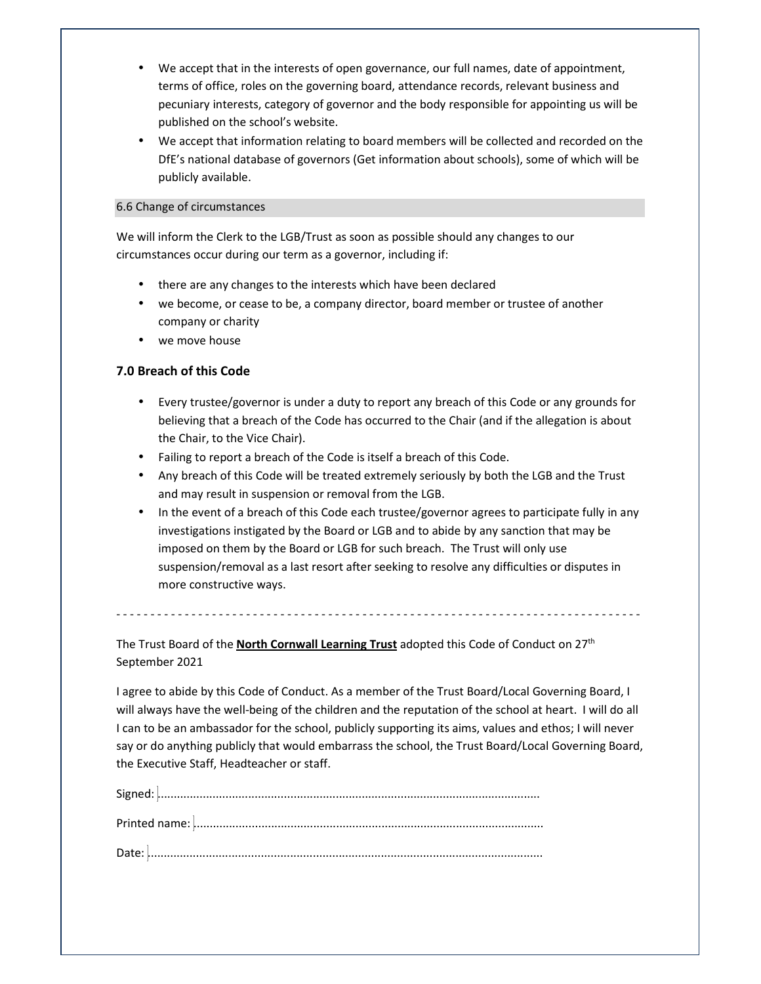- We accept that in the interests of open governance, our full names, date of appointment, terms of office, roles on the governing board, attendance records, relevant business and pecuniary interests, category of governor and the body responsible for appointing us will be published on the school's website.
- We accept that information relating to board members will be collected and recorded on the DfE's national database of governors (Get information about schools), some of which will be publicly available.

#### 6.6 Change of circumstances

We will inform the Clerk to the LGB/Trust as soon as possible should any changes to our circumstances occur during our term as a governor, including if:

- there are any changes to the interests which have been declared
- we become, or cease to be, a company director, board member or trustee of another company or charity
- we move house

# **7.0 Breach of this Code**

- Every trustee/governor is under a duty to report any breach of this Code or any grounds for believing that a breach of the Code has occurred to the Chair (and if the allegation is about the Chair, to the Vice Chair).
- Failing to report a breach of the Code is itself a breach of this Code.
- Any breach of this Code will be treated extremely seriously by both the LGB and the Trust and may result in suspension or removal from the LGB.
- In the event of a breach of this Code each trustee/governor agrees to participate fully in any investigations instigated by the Board or LGB and to abide by any sanction that may be imposed on them by the Board or LGB for such breach. The Trust will only use suspension/removal as a last resort after seeking to resolve any difficulties or disputes in more constructive ways.

- - - - - - - - - - - - - - - - - - - - - - - - - - - - - - - - - - - - - - - - - - - - - - - - - - - - - - - - - - - - - - - - - - - - - - - - - - - - -

The Trust Board of the **North Cornwall Learning Trust** adopted this Code of Conduct on 27th September 2021

I agree to abide by this Code of Conduct. As a member of the Trust Board/Local Governing Board, I will always have the well-being of the children and the reputation of the school at heart. I will do all I can to be an ambassador for the school, publicly supporting its aims, values and ethos; I will never say or do anything publicly that would embarrass the school, the Trust Board/Local Governing Board, the Executive Staff, Headteacher or staff.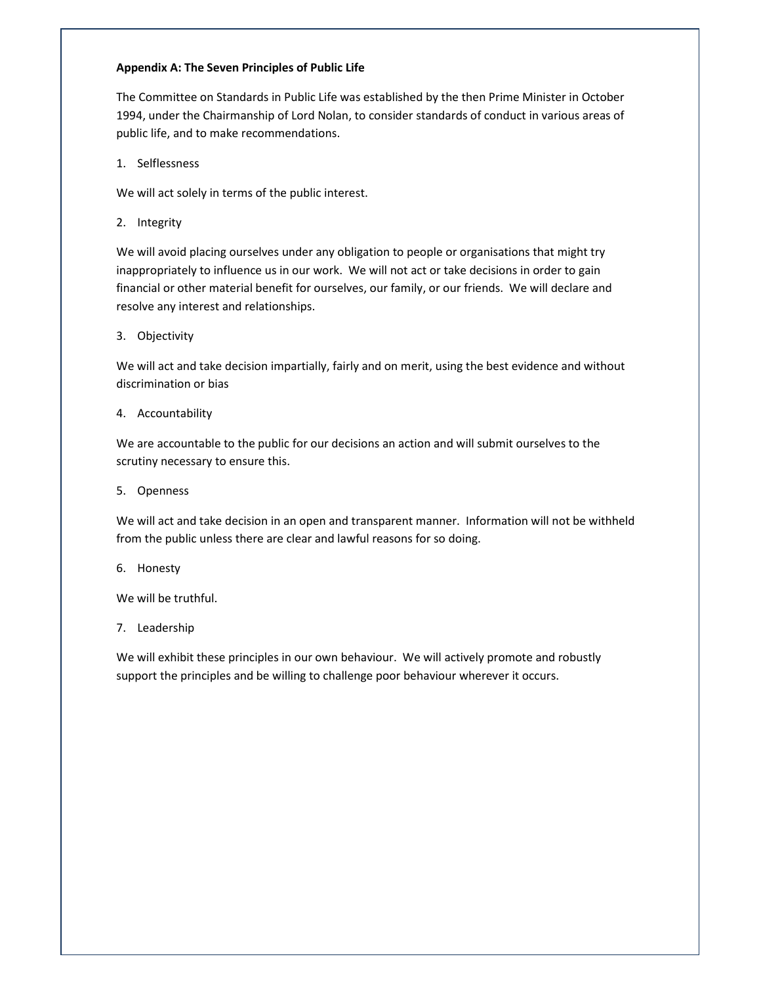#### **Appendix A: The Seven Principles of Public Life**

The Committee on Standards in Public Life was established by the then Prime Minister in October 1994, under the Chairmanship of Lord Nolan, to consider standards of conduct in various areas of public life, and to make recommendations.

1. Selflessness

We will act solely in terms of the public interest.

2. Integrity

We will avoid placing ourselves under any obligation to people or organisations that might try inappropriately to influence us in our work. We will not act or take decisions in order to gain financial or other material benefit for ourselves, our family, or our friends. We will declare and resolve any interest and relationships.

3. Objectivity

We will act and take decision impartially, fairly and on merit, using the best evidence and without discrimination or bias

4. Accountability

We are accountable to the public for our decisions an action and will submit ourselves to the scrutiny necessary to ensure this.

5. Openness

We will act and take decision in an open and transparent manner. Information will not be withheld from the public unless there are clear and lawful reasons for so doing.

6. Honesty

We will be truthful.

7. Leadership

We will exhibit these principles in our own behaviour. We will actively promote and robustly support the principles and be willing to challenge poor behaviour wherever it occurs.